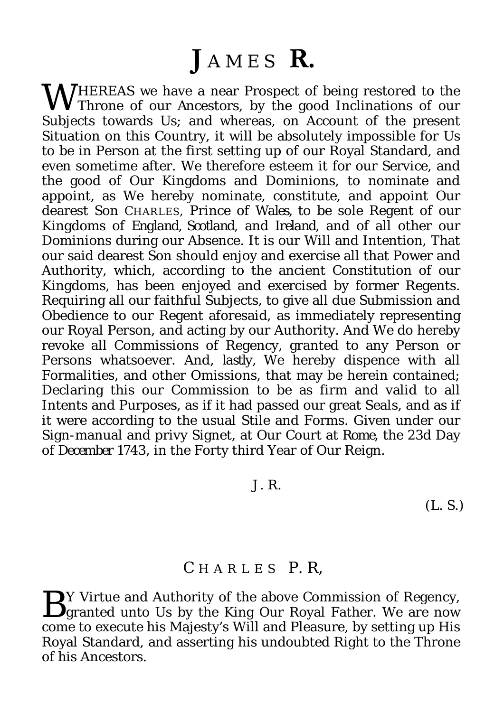## $J$  A M E S  $R$ .

**WHEREAS** we have a near Prospect of being restored to the Throne of our Ancestors, by the good Inclinations of our **V** Throne of our Ancestors, by the good Inclinations of our Subjects towards Us; and whereas, on Account of the present Situation on this Country, it will be absolutely impossible for Us to be in Person at the first setting up of our Royal Standard, and even sometime after. We therefore esteem it for our Service, and the good of Our Kingdoms and Dominions, to nominate and appoint, as We hereby nominate, constitute, and appoint Our dearest Son CHARLES, Prince of *Wales,* to be sole Regent of our Kingdoms of *England, Scotland*, and *Ireland*, and of all other our Dominions during our Absence. It is our Will and Intention, That our said dearest Son should enjoy and exercise all that Power and Authority, which, according to the ancient Constitution of our Kingdoms, has been enjoyed and exercised by former Regents. Requiring all our faithful Subjects, to give all due Submission and Obedience to our Regent aforesaid, as immediately representing our Royal Person, and acting by our Authority. And We do hereby revoke all Commissions of Regency, granted to any Person or Persons whatsoever. And, *lastly,* We hereby dispence with all Formalities, and other Omissions, that may be herein contained; Declaring this our Commission to be as firm and valid to all Intents and Purposes, as if it had passed our great Seals, and as if it were according to the usual Stile and Forms. Given under our Sign-manual and privy Signet, at Our Court at *Rome*, the 23d Day of *December* 1743, in the Forty third Year of Our Reign.

## J. R.

(L. S.)

## C HARLES P. R,

Y Virtue and Authority of the above Commission of Regency, By Virtue and Authority of the above Commission of Regency,<br>granted unto Us by the King Our Royal Father. We are now come to execute his Majesty's Will and Pleasure, by setting up His Royal Standard, and asserting his undoubted Right to the Throne of his Ancestors.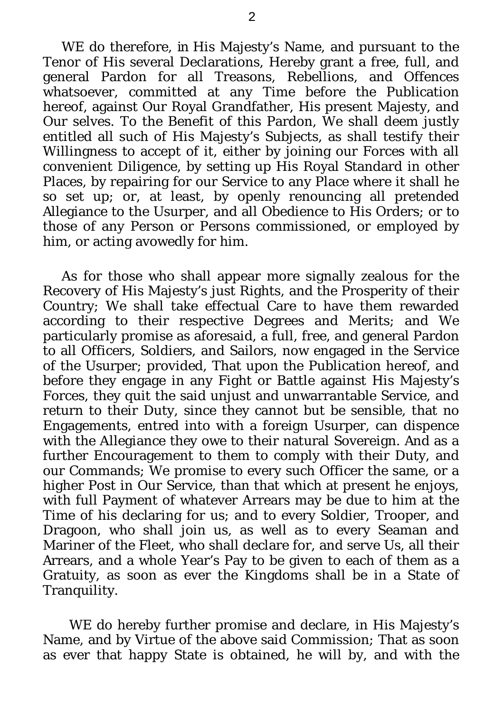WE do therefore, in His Majesty's Name, and pursuant to the Tenor of His several Declarations, Hereby grant a free, full, and general Pardon for all Treasons, Rebellions, and Offences whatsoever, committed at any Time before the Publication hereof, against Our Royal Grandfather, His present Majesty, and Our selves. To the Benefit of this Pardon, We shall deem justly entitled all such of His Majesty's Subjects, as shall testify their Willingness to accept of it, either by joining our Forces with all convenient Diligence, by setting up His Royal Standard in other Places, by repairing for our Service to any Place where it shall he so set up; or, at least, by openly renouncing all pretended *A*llegiance to the Usurper, and all Obedience to His Orders; or to those of any Person or Persons commissioned, or employed by him, or acting avowedly for him.

As for those who shall appear more signally zealous for the Recovery of His Majesty's just Rights, and the Prosperity of their Country; We shall take effectual Care to have them rewarded according to their respective Degrees and Merits; and We particularly promise as aforesaid, a full, free, and general Pardon to all Officers, Soldiers, and Sailors, now engaged in the Service of the Usurper; provided, That upon the Publication hereof, and before they engage in any Fight or Battle against His Majesty's Forces, they quit the said unjust and unwarrantable Service, and return to their Duty, since they cannot but be sensible, that no Engagements, entred into with a foreign Usurper, can dispence with the Allegiance they owe to their natural Sovereign. And as a further Encouragement to them to comply with their Duty, and our Commands; We promise to every such Officer the same, or a higher Post in Our Service, than that which at present he enjoys, with full Payment of whatever Arrears may be due to him at the Time of his declaring for us; and to every Soldier, Trooper, and Dragoon, who shall join us, as well as to every Seaman and Mariner of the Fleet, who shall declare for, and serve Us, all their *A*rrears, and a whole Year's Pay to be given to each of them as a Gratuity, as soon as ever the Kingdoms shall be in a State of Tranquility.

WE do hereby further promise and declare, in His Majesty's Name, and by Virtue of the above said Commission; That as soon as ever that happy State is obtained, he will by, and with the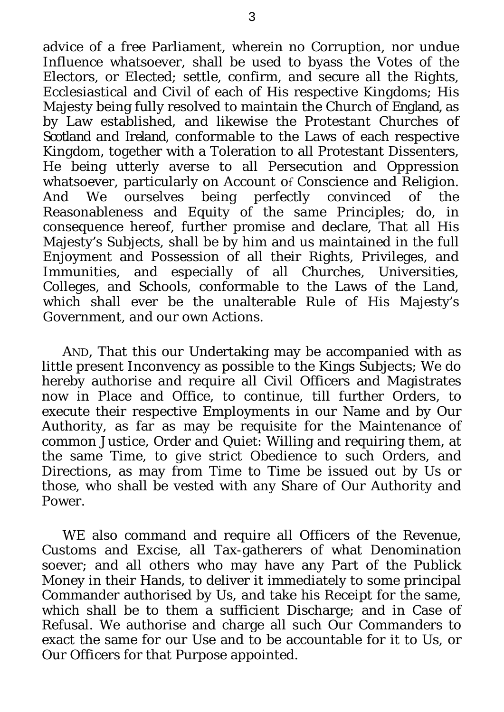advice of a free Parliament, wherein no Corruption, nor undue Influence whatsoever, shall be used to byass the Votes of the Electors, or Elected; settle, confirm, and secure all the Rights, Ecclesiastical and Civil of each of His respective Kingdoms; His Majesty being fully resolved to maintain the Church of *England,* as by Law established, and likewise the Protestant Churches of *Scotland* and *Ireland*, conformable to the Laws of each respective Kingdom, together with a Toleration to all Protestant Dissenters, He being utterly averse to all Persecution and Oppression whatsoever, particularly on Account of Conscience and Religion.<br>And We ourselves being perfectly convinced of the being perfectly convinced of the Reasonableness and Equity of the same Principles; do, in consequence hereof, further promise and declare, That all His Majesty's Subjects, shall be by him and us maintained in the full Enjoyment and Possession of all their Rights, Privileges, and Immunities, and especially of all Churches, Universities, Colleges, and Schools, conformable to the Laws of the Land, which shall ever be the unalterable Rule of His Majesty's Government, and our own Actions.

AND, That this our Undertaking may be accompanied with as little present Inconvency as possible to the Kings Subjects; We do hereby authorise and require all Civil Officers and Magistrates now in Place and Office, to continue, till further Orders, to execute their respective Employments in our Name and by Our Authority, as far as may be requisite for the Maintenance of common Justice, Order and Quiet: Willing and requiring them, at the same Time, to give strict Obedience to such Orders, and Directions, as may from Time to Time be issued out by Us or those, who shall be vested with any Share of Our Authority and Power.

WE also command and require all Officers of the Revenue, Customs and Excise, all Tax-gatherers of what Denomination soever; and all others who may have any Part of the Publick Money in their Hands, to deliver it immediately to some principal Commander authorised by Us, and take his Receipt for the same, which shall be to them a sufficient Discharge; and in Case of Refusal. We authorise and charge all such Our Commanders to exact the same for our Use and to be accountable for it to Us, or Our Officers for that Purpose appointed.